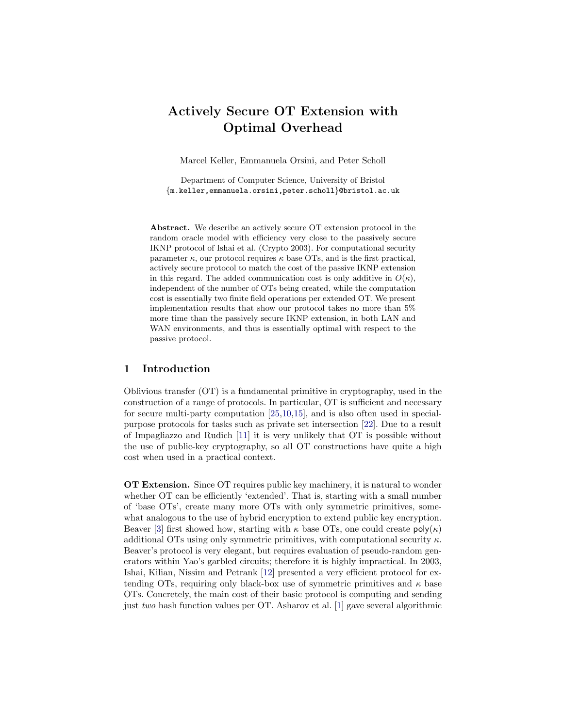# Actively Secure OT Extension with Optimal Overhead

Marcel Keller, Emmanuela Orsini, and Peter Scholl

Department of Computer Science, University of Bristol {m.keller,emmanuela.orsini,peter.scholl}@bristol.ac.uk

Abstract. We describe an actively secure OT extension protocol in the random oracle model with efficiency very close to the passively secure IKNP protocol of Ishai et al. (Crypto 2003). For computational security parameter  $\kappa$ , our protocol requires  $\kappa$  base OTs, and is the first practical, actively secure protocol to match the cost of the passive IKNP extension in this regard. The added communication cost is only additive in  $O(\kappa)$ , independent of the number of OTs being created, while the computation cost is essentially two finite field operations per extended OT. We present implementation results that show our protocol takes no more than 5% more time than the passively secure IKNP extension, in both LAN and WAN environments, and thus is essentially optimal with respect to the passive protocol.

# 1 Introduction

Oblivious transfer (OT) is a fundamental primitive in cryptography, used in the construction of a range of protocols. In particular, OT is sufficient and necessary for secure multi-party computation [\[25,](#page-17-0)[10,](#page-16-0)[15\]](#page-17-1), and is also often used in specialpurpose protocols for tasks such as private set intersection [\[22\]](#page-17-2). Due to a result of Impagliazzo and Rudich [\[11\]](#page-16-1) it is very unlikely that OT is possible without the use of public-key cryptography, so all OT constructions have quite a high cost when used in a practical context.

OT Extension. Since OT requires public key machinery, it is natural to wonder whether OT can be efficiently 'extended'. That is, starting with a small number of 'base OTs', create many more OTs with only symmetric primitives, somewhat analogous to the use of hybrid encryption to extend public key encryption. Beaver [\[3\]](#page-16-2) first showed how, starting with  $\kappa$  base OTs, one could create  $\mathsf{poly}(\kappa)$ additional OTs using only symmetric primitives, with computational security  $\kappa$ . Beaver's protocol is very elegant, but requires evaluation of pseudo-random generators within Yao's garbled circuits; therefore it is highly impractical. In 2003, Ishai, Kilian, Nissim and Petrank [\[12\]](#page-16-3) presented a very efficient protocol for extending OTs, requiring only black-box use of symmetric primitives and  $\kappa$  base OTs. Concretely, the main cost of their basic protocol is computing and sending just two hash function values per OT. Asharov et al. [\[1\]](#page-16-4) gave several algorithmic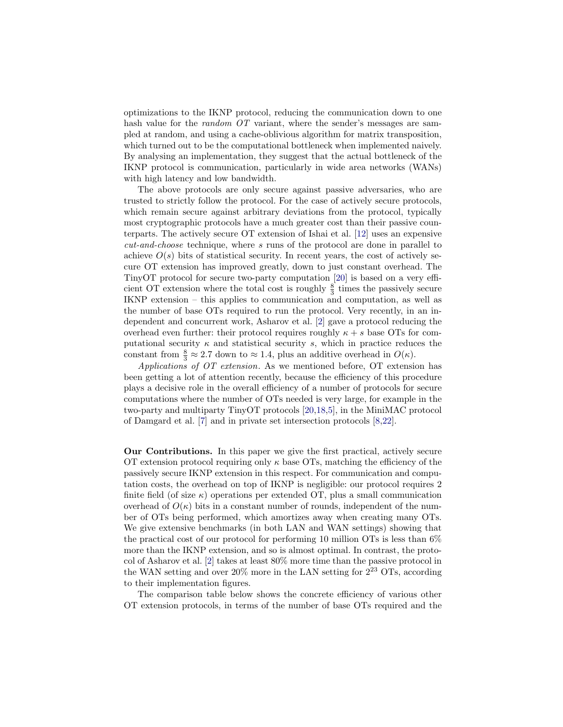optimizations to the IKNP protocol, reducing the communication down to one hash value for the *random OT* variant, where the sender's messages are sampled at random, and using a cache-oblivious algorithm for matrix transposition, which turned out to be the computational bottleneck when implemented naively. By analysing an implementation, they suggest that the actual bottleneck of the IKNP protocol is communication, particularly in wide area networks (WANs) with high latency and low bandwidth.

The above protocols are only secure against passive adversaries, who are trusted to strictly follow the protocol. For the case of actively secure protocols, which remain secure against arbitrary deviations from the protocol, typically most cryptographic protocols have a much greater cost than their passive counterparts. The actively secure OT extension of Ishai et al. [\[12\]](#page-16-3) uses an expensive cut-and-choose technique, where s runs of the protocol are done in parallel to achieve  $O(s)$  bits of statistical security. In recent years, the cost of actively secure OT extension has improved greatly, down to just constant overhead. The TinyOT protocol for secure two-party computation [\[20\]](#page-17-3) is based on a very efficient OT extension where the total cost is roughly  $\frac{8}{3}$  times the passively secure IKNP extension – this applies to communication and computation, as well as the number of base OTs required to run the protocol. Very recently, in an independent and concurrent work, Asharov et al. [\[2\]](#page-16-5) gave a protocol reducing the overhead even further: their protocol requires roughly  $\kappa + s$  base OTs for computational security  $\kappa$  and statistical security s, which in practice reduces the constant from  $\frac{8}{3} \approx 2.7$  down to  $\approx 1.4$ , plus an additive overhead in  $O(\kappa)$ .

Applications of OT extension. As we mentioned before, OT extension has been getting a lot of attention recently, because the efficiency of this procedure plays a decisive role in the overall efficiency of a number of protocols for secure computations where the number of OTs needed is very large, for example in the two-party and multiparty TinyOT protocols [\[20](#page-17-3)[,18,](#page-17-4)[5\]](#page-16-6), in the MiniMAC protocol of Damgard et al. [\[7\]](#page-16-7) and in private set intersection protocols [\[8,](#page-16-8)[22\]](#page-17-2).

Our Contributions. In this paper we give the first practical, actively secure OT extension protocol requiring only  $\kappa$  base OTs, matching the efficiency of the passively secure IKNP extension in this respect. For communication and computation costs, the overhead on top of IKNP is negligible: our protocol requires 2 finite field (of size  $\kappa$ ) operations per extended OT, plus a small communication overhead of  $O(\kappa)$  bits in a constant number of rounds, independent of the number of OTs being performed, which amortizes away when creating many OTs. We give extensive benchmarks (in both LAN and WAN settings) showing that the practical cost of our protocol for performing 10 million OTs is less than 6% more than the IKNP extension, and so is almost optimal. In contrast, the protocol of Asharov et al. [\[2\]](#page-16-5) takes at least 80% more time than the passive protocol in the WAN setting and over  $20\%$  more in the LAN setting for  $2^{23}$  OTs, according to their implementation figures.

The comparison table below shows the concrete efficiency of various other OT extension protocols, in terms of the number of base OTs required and the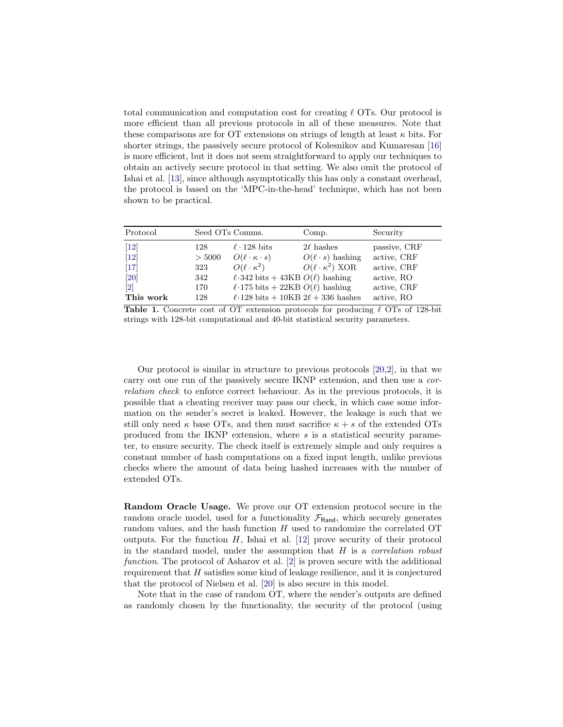total communication and computation cost for creating  $\ell$  OTs. Our protocol is more efficient than all previous protocols in all of these measures. Note that these comparisons are for OT extensions on strings of length at least  $\kappa$  bits. For shorter strings, the passively secure protocol of Kolesnikov and Kumaresan [\[16\]](#page-17-5) is more efficient, but it does not seem straightforward to apply our techniques to obtain an actively secure protocol in that setting. We also omit the protocol of Ishai et al. [\[13\]](#page-17-6), since although asymptotically this has only a constant overhead, the protocol is based on the 'MPC-in-the-head' technique, which has not been shown to be practical.

| Protocol                     | Seed OTs Comms. |                                              | Comp.                        | Security     |
|------------------------------|-----------------|----------------------------------------------|------------------------------|--------------|
| $\left[12\right]$            | 128             | $\ell$ · 128 bits                            | $2\ell$ hashes               | passive, CRF |
| $[12]$                       | > 5000          | $O(\ell \cdot \kappa \cdot s)$               | $O(\ell \cdot s)$ hashing    | active, CRF  |
| $[17]$                       | 323             | $O(\ell \cdot \kappa^2)$                     | $O(\ell \cdot \kappa^2)$ XOR | active, CRF  |
| $[20]$                       | 342             | $\ell$ 342 bits + 43KB $O(\ell)$ hashing     |                              | active, RO   |
| $\left\lceil 2 \right\rceil$ | 170             | $\ell$ -175 bits + 22KB $O(\ell)$ hashing    |                              | active, CRF  |
| This work                    | 128             | $\ell$ 128 bits + 10KB 2 $\ell$ + 336 hashes |                              | active, RO   |

**Table 1.** Concrete cost of OT extension protocols for producing  $\ell$  OTs of 128-bit strings with 128-bit computational and 40-bit statistical security parameters.

Our protocol is similar in structure to previous protocols [\[20,](#page-17-3)[2\]](#page-16-5), in that we carry out one run of the passively secure IKNP extension, and then use a correlation check to enforce correct behaviour. As in the previous protocols, it is possible that a cheating receiver may pass our check, in which case some information on the sender's secret is leaked. However, the leakage is such that we still only need  $\kappa$  base OTs, and then must sacrifice  $\kappa + s$  of the extended OTs produced from the IKNP extension, where s is a statistical security parameter, to ensure security. The check itself is extremely simple and only requires a constant number of hash computations on a fixed input length, unlike previous checks where the amount of data being hashed increases with the number of extended OTs.

Random Oracle Usage. We prove our OT extension protocol secure in the random oracle model, used for a functionality  $\mathcal{F}_{\text{Rand}}$ , which securely generates random values, and the hash function  $H$  used to randomize the correlated OT outputs. For the function  $H$ , Ishai et al. [\[12\]](#page-16-3) prove security of their protocol in the standard model, under the assumption that  $H$  is a *correlation robust* function. The protocol of Asharov et al. [\[2\]](#page-16-5) is proven secure with the additional requirement that  $H$  satisfies some kind of leakage resilience, and it is conjectured that the protocol of Nielsen et al. [\[20\]](#page-17-3) is also secure in this model.

Note that in the case of random OT, where the sender's outputs are defined as randomly chosen by the functionality, the security of the protocol (using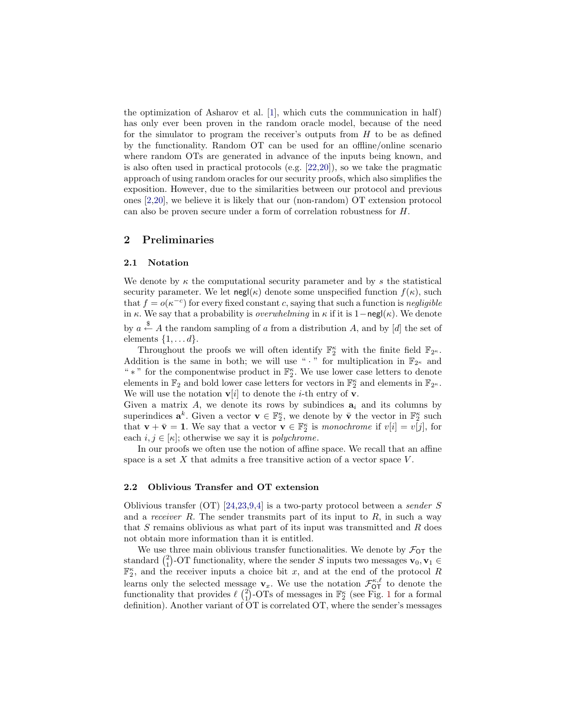the optimization of Asharov et al. [\[1\]](#page-16-4), which cuts the communication in half) has only ever been proven in the random oracle model, because of the need for the simulator to program the receiver's outputs from  $H$  to be as defined by the functionality. Random OT can be used for an offline/online scenario where random OTs are generated in advance of the inputs being known, and is also often used in practical protocols (e.g. [\[22,](#page-17-2)[20\]](#page-17-3)), so we take the pragmatic approach of using random oracles for our security proofs, which also simplifies the exposition. However, due to the similarities between our protocol and previous ones [\[2](#page-16-5)[,20\]](#page-17-3), we believe it is likely that our (non-random) OT extension protocol can also be proven secure under a form of correlation robustness for H.

# 2 Preliminaries

#### 2.1 Notation

We denote by  $\kappa$  the computational security parameter and by s the statistical security parameter. We let  $\operatorname{negl}(\kappa)$  denote some unspecified function  $f(\kappa)$ , such that  $f = o(\kappa^{-c})$  for every fixed constant c, saying that such a function is negligible in  $\kappa$ . We say that a probability is *overwhelming* in  $\kappa$  if it is 1−negl( $\kappa$ ). We denote by  $a \stackrel{\$}{\leftarrow} A$  the random sampling of a from a distribution A, and by [d] the set of elements  $\{1, \ldots d\}$ .

Throughout the proofs we will often identify  $\mathbb{F}_2^{\kappa}$  with the finite field  $\mathbb{F}_{2^{\kappa}}$ . Addition is the same in both; we will use " $\cdot$ " for multiplication in  $\mathbb{F}_{2^{\kappa}}$  and "  $\ast$  " for the componentwise product in  $\mathbb{F}_2^{\kappa}$ . We use lower case letters to denote elements in  $\mathbb{F}_2$  and bold lower case letters for vectors in  $\mathbb{F}_2^{\kappa}$  and elements in  $\mathbb{F}_{2^{\kappa}}$ . We will use the notation  $v[i]$  to denote the *i*-th entry of **v**.

Given a matrix A, we denote its rows by subindices  $a_i$  and its columns by superindices  $\mathbf{a}^k$ . Given a vector  $\mathbf{v} \in \mathbb{F}_2^{\kappa}$ , we denote by  $\bar{\mathbf{v}}$  the vector in  $\mathbb{F}_2^{\kappa}$  such that  $\mathbf{v} + \bar{\mathbf{v}} = \mathbf{1}$ . We say that a vector  $\mathbf{v} \in \mathbb{F}_2^{\kappa}$  is monochrome if  $v[i] = v[j]$ , for each  $i, j \in [\kappa]$ ; otherwise we say it is *polychrome*.

In our proofs we often use the notion of affine space. We recall that an affine space is a set  $X$  that admits a free transitive action of a vector space  $V$ .

#### 2.2 Oblivious Transfer and OT extension

Oblivious transfer (OT) [\[24,](#page-17-8)[23](#page-17-9)[,9,](#page-16-9)[4\]](#page-16-10) is a two-party protocol between a sender S and a receiver  $R$ . The sender transmits part of its input to  $R$ , in such a way that S remains oblivious as what part of its input was transmitted and R does not obtain more information than it is entitled.

We use three main oblivious transfer functionalities. We denote by  $\mathcal{F}_{OT}$  the standard  $\binom{2}{1}$ -OT functionality, where the sender S inputs two messages  $\mathbf{v}_0, \mathbf{v}_1 \in$  $\mathbb{F}_2^{\kappa}$ , and the receiver inputs a choice bit x, and at the end of the protocol R learns only the selected message  $\mathbf{v}_x$ . We use the notation  $\mathcal{F}_{\text{OT}}^{\kappa,\ell}$  to denote the functionality that provides  $\ell \binom{2}{1}$  $\ell \binom{2}{1}$  $\ell \binom{2}{1}$ -OTs of messages in  $\mathbb{F}_2^{\kappa}$  (see Fig. 1 for a formal definition). Another variant of OT is correlated OT, where the sender's messages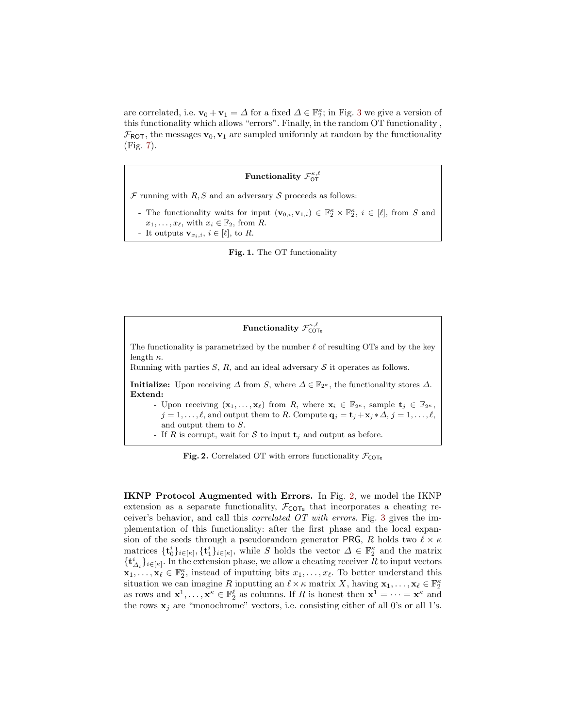are correlated, i.e.  $\mathbf{v}_0 + \mathbf{v}_1 = \Delta$  for a fixed  $\Delta \in \mathbb{F}_2^{\kappa}$ ; in Fig. [3](#page-5-0) we give a version of this functionality which allows "errors". Finally, in the random OT functionality ,  $\mathcal{F}_{\text{ROT}}$ , the messages  $\mathbf{v}_0, \mathbf{v}_1$  are sampled uniformly at random by the functionality (Fig. [7\)](#page-9-0).

# Functionality  $\mathcal{F}^{\kappa,\ell}_{\mathsf{OT}}$

 $F$  running with  $R, S$  and an adversary  $S$  proceeds as follows:

- The functionality waits for input  $(\mathbf{v}_{0,i}, \mathbf{v}_{1,i}) \in \mathbb{F}_2^{\kappa} \times \mathbb{F}_2^{\kappa}, i \in [\ell],$  from S and  $x_1, \ldots, x_\ell$ , with  $x_i \in \mathbb{F}_2$ , from R.
- It outputs  $\mathbf{v}_{x_i,i}, i \in [\ell],$  to R.

<span id="page-4-0"></span>Fig. 1. The OT functionality

 $\rm Functionality\ {\cal F}^{\kappa,\ell}_{\rm COTe}$ The functionality is parametrized by the number  $\ell$  of resulting OTs and by the key length  $\kappa$ . Running with parties  $S$ ,  $R$ , and an ideal adversary  $S$  it operates as follows. **Initialize:** Upon receiving  $\Delta$  from S, where  $\Delta \in \mathbb{F}_{2^{\kappa}}$ , the functionality stores  $\Delta$ . Extend: - Upon receiving  $(\mathbf{x}_1, \ldots, \mathbf{x}_\ell)$  from R, where  $\mathbf{x}_i \in \mathbb{F}_{2^\kappa}$ , sample  $\mathbf{t}_j \in \mathbb{F}_{2^\kappa}$ ,  $j = 1, \ldots, \ell$ , and output them to R. Compute  $\mathbf{q}_j = \mathbf{t}_j + \mathbf{x}_j * \Delta, j = 1, \ldots, \ell$ , and output them to S. - If R is corrupt, wait for S to input  $\mathbf{t}_j$  and output as before.

<span id="page-4-1"></span>Fig. 2. Correlated OT with errors functionality  $\mathcal{F}_{\text{COTe}}$ 

IKNP Protocol Augmented with Errors. In Fig. [2,](#page-4-1) we model the IKNP extension as a separate functionality,  $\mathcal{F}_{\text{COTe}}$  that incorporates a cheating receiver's behavior, and call this correlated OT with errors. Fig. [3](#page-5-0) gives the implementation of this functionality: after the first phase and the local expansion of the seeds through a pseudorandom generator PRG, R holds two  $\ell \times \kappa$ matrices  $\{\mathbf{t}_0^i\}_{i\in[\kappa]}, \{\mathbf{t}_1^i\}_{i\in[\kappa]}$ , while S holds the vector  $\Delta \in \mathbb{F}_2^{\kappa}$  and the matrix  $\{\mathbf t_{\varDelta_i}^i\}_{i\in[\kappa]}$ . In the extension phase, we allow a cheating receiver R to input vectors  $\mathbf{x}_1,\ldots,\mathbf{x}_\ell\in\mathbb{F}_2^{\kappa}$ , instead of inputting bits  $x_1,\ldots,x_\ell$ . To better understand this situation we can imagine R inputting an  $\ell \times \kappa$  matrix X, having  $\mathbf{x}_1, \ldots, \mathbf{x}_\ell \in \mathbb{F}_2^{\kappa}$ as rows and  $\mathbf{x}^1, \ldots, \mathbf{x}^k \in \mathbb{F}_2^{\ell}$  as columns. If R is honest then  $\mathbf{x}^1 = \cdots = \mathbf{x}^k$  and the rows  $\mathbf{x}_j$  are "monochrome" vectors, i.e. consisting either of all 0's or all 1's.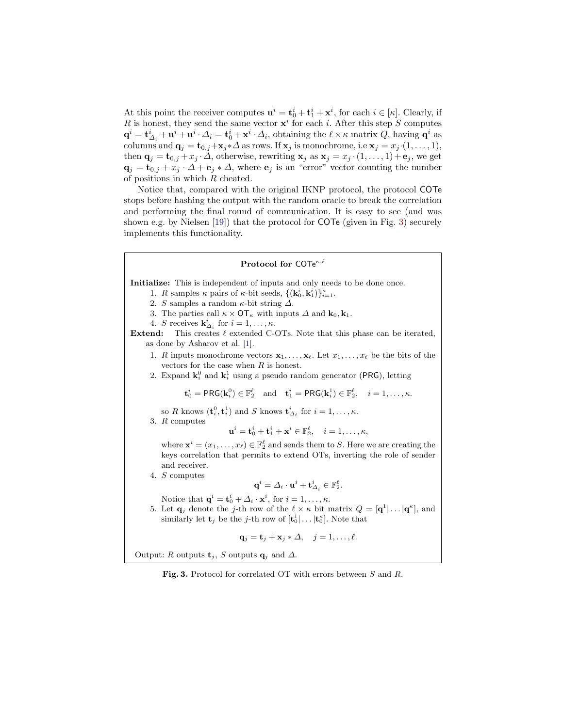At this point the receiver computes  $\mathbf{u}^i = \mathbf{t}_0^i + \mathbf{t}_1^i + \mathbf{x}^i$ , for each  $i \in [\kappa]$ . Clearly, if R is honest, they send the same vector  $x^i$  for each i. After this step S computes  $\mathbf{q}^i = \mathbf{t}_{\Delta_i}^i + \mathbf{u}^i + \mathbf{u}^i \cdot \Delta_i = \mathbf{t}_0^i + \mathbf{x}^i \cdot \Delta_i$ , obtaining the  $\ell \times \kappa$  matrix  $Q$ , having  $\mathbf{q}^i$  as columns and  $\mathbf{q}_j = \mathbf{t}_{0,j} + \mathbf{x}_j \cdot \Delta$  as rows. If  $\mathbf{x}_j$  is monochrome, i.e  $\mathbf{x}_j = x_j \cdot (1, \ldots, 1)$ , then  $\mathbf{q}_i = \mathbf{t}_{0,i} + x_i \cdot \Delta$ , otherwise, rewriting  $\mathbf{x}_i$  as  $\mathbf{x}_i = x_i \cdot (1, \ldots, 1) + \mathbf{e}_i$ , we get  $\mathbf{q}_i = \mathbf{t}_{0,i} + x_i \cdot \Delta + \mathbf{e}_i * \Delta$ , where  $\mathbf{e}_i$  is an "error" vector counting the number of positions in which R cheated.

Notice that, compared with the original IKNP protocol, the protocol COTe stops before hashing the output with the random oracle to break the correlation and performing the final round of communication. It is easy to see (and was shown e.g. by Nielsen [\[19\]](#page-17-10)) that the protocol for COTe (given in Fig. [3\)](#page-5-0) securely implements this functionality.

#### Protocol for COTe $\kappa,\ell$

Initialize: This is independent of inputs and only needs to be done once.

- 1. R samples  $\kappa$  pairs of  $\kappa$ -bit seeds,  $\{(\mathbf{k}_0^i, \mathbf{k}_1^i)\}_{i=1}^{\kappa}$ .
- 2. S samples a random  $\kappa$ -bit string  $\Delta$ .
- 3. The parties call  $\kappa \times \text{OT}_{\kappa}$  with inputs  $\Delta$  and  $\mathbf{k}_0, \mathbf{k}_1$ .
- 4. S receives  $\mathbf{k}_{\Delta_i}^i$  for  $i = 1, \ldots, \kappa$ .

Extend: This creates  $\ell$  extended C-OTs. Note that this phase can be iterated, as done by Asharov et al. [\[1\]](#page-16-4).

- 1. R inputs monochrome vectors  $\mathbf{x}_1, \ldots, \mathbf{x}_{\ell}$ . Let  $x_1, \ldots, x_{\ell}$  be the bits of the vectors for the case when  $R$  is honest.
- 2. Expand  $\mathbf{k}_i^0$  and  $\mathbf{k}_i^1$  using a pseudo random generator (PRG), letting

 $\mathbf{t}_0^i = \mathsf{PRG}(\mathbf{k}_i^0) \in \mathbb{F}_2^\ell \quad \text{and} \quad \mathbf{t}_1^i = \mathsf{PRG}(\mathbf{k}_i^1) \in \mathbb{F}_2^\ell, \quad i = 1, \ldots, \kappa.$ 

- so R knows  $(\mathbf{t}_i^0, \mathbf{t}_i^1)$  and S knows  $\mathbf{t}_{\Delta_i}^i$  for  $i = 1, \ldots, \kappa$ .
- 3. R computes

$$
\mathbf{u}^i = \mathbf{t}_0^i + \mathbf{t}_1^i + \mathbf{x}^i \in \mathbb{F}_2^\ell, \quad i = 1, \dots, \kappa,
$$

where  $\mathbf{x}^i = (x_1, \ldots, x_\ell) \in \mathbb{F}_2^\ell$  and sends them to S. Here we are creating the keys correlation that permits to extend OTs, inverting the role of sender and receiver.

- 4. S computes
- ${\bf q}^i = \mathit{\Delta}_i \cdot {\bf u}^i + {\bf t}^i_{\mathit{\Delta}_i} \in \mathbb{F}_2^\ell.$
- Notice that  $\mathbf{q}^i = \mathbf{t}_0^i + \Delta_i \cdot \mathbf{x}^i$ , for  $i = 1, \ldots, \kappa$ .
- 5. Let  $\mathbf{q}_j$  denote the j-th row of the  $\ell \times \kappa$  bit matrix  $Q = [\mathbf{q}^1 | \dots | \mathbf{q}^{\kappa}],$  and similarly let  $\mathbf{t}_j$  be the *j*-th row of  $[\mathbf{t}_0^1 | \dots | \mathbf{t}_0^{\kappa}]$ . Note that

$$
\mathbf{q}_j = \mathbf{t}_j + \mathbf{x}_j \ast \Delta, \quad j = 1, \dots, \ell.
$$

Output: R outputs  $\mathbf{t}_j$ , S outputs  $\mathbf{q}_j$  and  $\Delta$ .

<span id="page-5-0"></span>Fig. 3. Protocol for correlated OT with errors between S and R.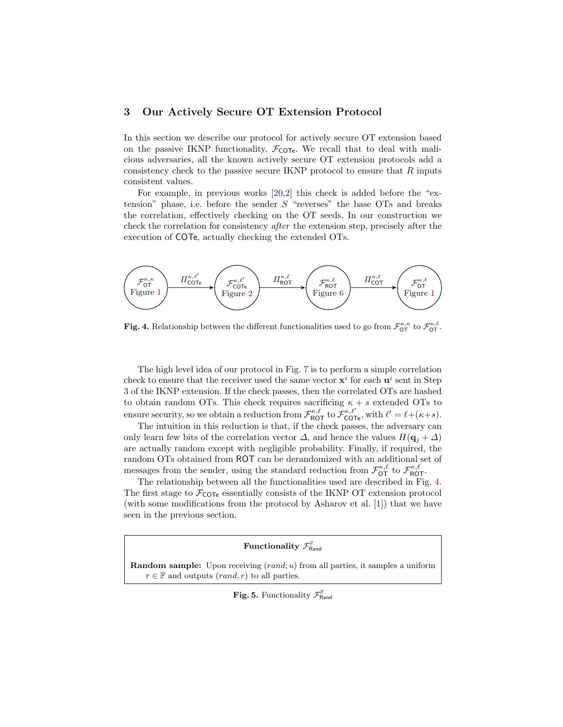# 3 Our Actively Secure OT Extension Protocol

In this section we describe our protocol for actively secure OT extension based on the passive IKNP functionality,  $\mathcal{F}_{\text{COTe}}$ . We recall that to deal with malicious adversaries, all the known actively secure OT extension protocols add a consistency check to the passive secure IKNP protocol to ensure that  $R$  inputs consistent values.

For example, in previous works [\[20,](#page-17-3)[2\]](#page-16-5) this check is added before the "extension" phase, i.e. before the sender  $S$  "reverses" the base OTs and breaks the correlation, effectively checking on the OT seeds. In our construction we check the correlation for consistency after the extension step, precisely after the execution of COTe, actually checking the extended OTs.



<span id="page-6-0"></span>**Fig. 4.** Relationship between the different functionalities used to go from  $\mathcal{F}_{\text{OT}}^{\kappa,\kappa}$  to  $\mathcal{F}_{\text{OT}}^{\kappa,\ell}$ .

The high level idea of our protocol in Fig. [7](#page-9-0) is to perform a simple correlation check to ensure that the receiver used the same vector  $x^i$  for each  $u^i$  sent in Step 3 of the IKNP extension. If the check passes, then the correlated OTs are hashed to obtain random OTs. This check requires sacrificing  $\kappa + s$  extended OTs to ensure security, so we obtain a reduction from  $\mathcal{F}_{\text{ROT}}^{\kappa,\ell}$  to  $\mathcal{F}_{\text{COTE}}^{\kappa,\ell'}$ , with  $\ell' = \ell + (\kappa + s)$ .

The intuition in this reduction is that, if the check passes, the adversary can only learn few bits of the correlation vector  $\Delta$ , and hence the values  $H(q_i + \Delta)$ are actually random except with negligible probability. Finally, if required, the random OTs obtained from ROT can be derandomized with an additional set of messages from the sender, using the standard reduction from  $\mathcal{F}_{\text{OT}}^{\kappa,\ell}$  to  $\mathcal{F}_{\text{ROT}}^{\kappa,\ell}$ .

The relationship between all the functionalities used are described in Fig. [4.](#page-6-0) The first stage to  $\mathcal{F}_{\text{COTe}}$  essentially consists of the IKNP OT extension protocol (with some modifications from the protocol by Asharov et al. [\[1\]](#page-16-4)) that we have seen in the previous section.

# Functionality  $\mathcal{F}^{\mathbb{F}}_{\mathsf{Rand}}$

**Random sample:** Upon receiving  $(rand; u)$  from all parties, it samples a uniform  $r \in \mathbb{F}$  and outputs  $(rand, r)$  to all parties.

Fig. 5. Functionality  $\mathcal{F}_{\mathsf{Rand}}^{\mathbb{F}}$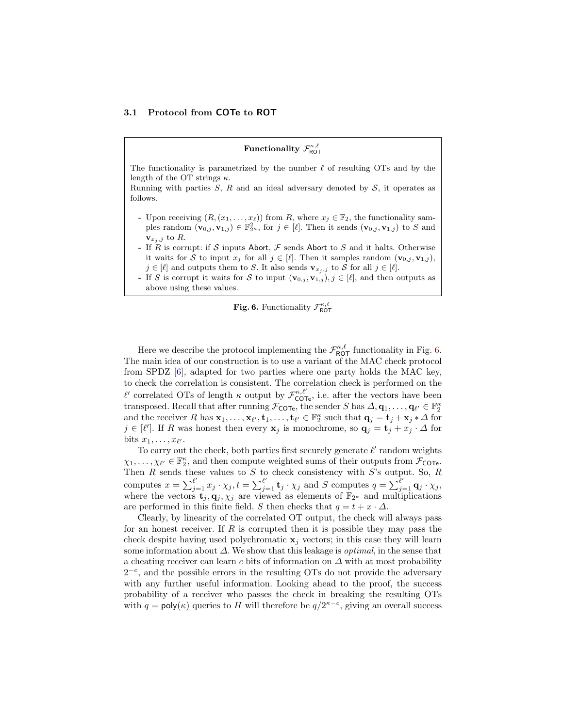#### 3.1 Protocol from COTe to ROT

# Functionality  $\mathcal{F}^{\kappa,\ell}_{\mathsf{ROT}}$

The functionality is parametrized by the number  $\ell$  of resulting OTs and by the length of the OT strings  $\kappa$ .

Running with parties  $S, R$  and an ideal adversary denoted by  $S$ , it operates as follows.

- Upon receiving  $(R, (x_1, \ldots, x_\ell))$  from R, where  $x_j \in \mathbb{F}_2$ , the functionality samples random  $(\mathbf{v}_{0,j}, \mathbf{v}_{1,j}) \in \mathbb{F}_{2^{\kappa}}^2$ , for  $j \in [\ell]$ . Then it sends  $(\mathbf{v}_{0,j}, \mathbf{v}_{1,j})$  to S and  $\mathbf{v}_{x_j,j}$  to R.
- If R is corrupt: if S inputs Abort,  $\mathcal F$  sends Abort to S and it halts. Otherwise it waits for S to input  $x_j$  for all  $j \in [\ell]$ . Then it samples random  $(\mathbf{v}_{0,j}, \mathbf{v}_{1,j})$ ,  $j \in [\ell]$  and outputs them to S. It also sends  $\mathbf{v}_{x_j, j}$  to S for all  $j \in [\ell]$ .
- If S is corrupt it waits for S to input  $(\mathbf{v}_{0,j}, \mathbf{v}_{1,j}), j \in [\ell],$  and then outputs as above using these values.

<span id="page-7-0"></span>

Here we describe the protocol implementing the  $\mathcal{F}_{\text{ROT}}^{\kappa,\ell}$  functionality in Fig. [6.](#page-7-0) The main idea of our construction is to use a variant of the MAC check protocol from SPDZ [\[6\]](#page-16-11), adapted for two parties where one party holds the MAC key, to check the correlation is consistent. The correlation check is performed on the  $\ell'$  correlated OTs of length κ output by  $\mathcal{F}_{\text{COTe}}^{\kappa,\ell'}$ , i.e. after the vectors have been transposed. Recall that after running  $\mathcal{F}_{\text{COTe}}$ , the sender S has  $\Delta, \mathbf{q}_1, \ldots, \mathbf{q}_{\ell'} \in \mathbb{F}_2^{\kappa}$ and the receiver R has  $\mathbf{x}_1, \ldots, \mathbf{x}_{\ell'}, \mathbf{t}_1, \ldots, \mathbf{t}_{\ell'} \in \mathbb{F}_2^{\kappa}$  such that  $\mathbf{q}_j = \mathbf{t}_j + \mathbf{x}_j * \Delta$  for  $j \in [\ell']$ . If R was honest then every  $\mathbf{x}_j$  is monochrome, so  $\mathbf{q}_j = \mathbf{t}_j + x_j \cdot \Delta$  for bits  $x_1, \ldots, x_{\ell'}$ .

To carry out the check, both parties first securely generate  $\ell'$  random weights  $\chi_1, \ldots, \chi_{\ell'} \in \mathbb{F}_2^{\kappa}$ , and then compute weighted sums of their outputs from  $\mathcal{F}_{\text{COTe}}$ . Then  $R$  sends these values to  $S$  to check consistency with  $S$ 's output. So,  $R$ computes  $x = \sum_{j=1}^{\ell'} x_j \cdot \chi_j, t = \sum_{j=1}^{\ell'} \mathbf{t}_j \cdot \chi_j$  and S computes  $q = \sum_{j=1}^{\ell'} \mathbf{q}_j \cdot \chi_j$ , where the vectors  $\mathbf{t}_j, \mathbf{q}_j, \chi_j$  are viewed as elements of  $\mathbb{F}_{2^{\kappa}}$  and multiplications are performed in this finite field. S then checks that  $q = t + x \cdot \Delta$ .

Clearly, by linearity of the correlated OT output, the check will always pass for an honest receiver. If  $R$  is corrupted then it is possible they may pass the check despite having used polychromatic  $x_j$  vectors; in this case they will learn some information about  $\Delta$ . We show that this leakage is *optimal*, in the sense that a cheating receiver can learn c bits of information on  $\Delta$  with at most probability  $2^{-c}$ , and the possible errors in the resulting OTs do not provide the adversary with any further useful information. Looking ahead to the proof, the success probability of a receiver who passes the check in breaking the resulting OTs with  $q = \text{poly}(\kappa)$  queries to H will therefore be  $q/2^{\kappa-c}$ , giving an overall success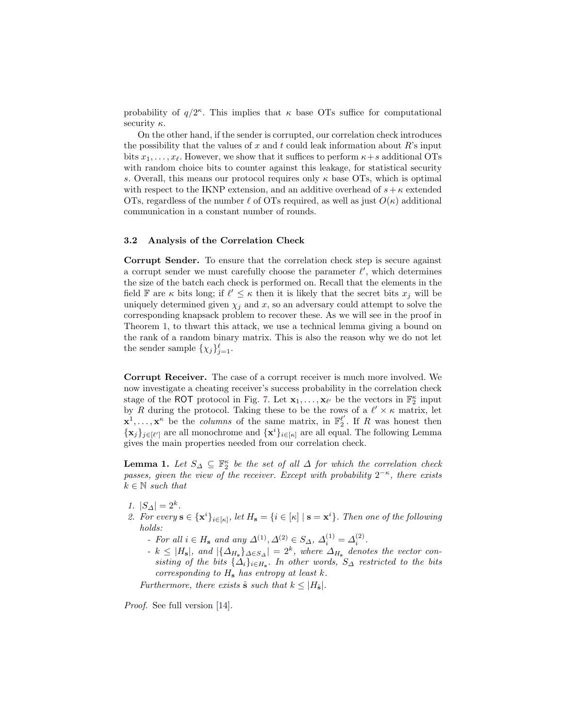probability of  $q/2^{\kappa}$ . This implies that  $\kappa$  base OTs suffice for computational security  $\kappa$ .

On the other hand, if the sender is corrupted, our correlation check introduces the possibility that the values of  $x$  and  $t$  could leak information about  $R$ 's input bits  $x_1, \ldots, x_\ell$ . However, we show that it suffices to perform  $\kappa + s$  additional OTs with random choice bits to counter against this leakage, for statistical security s. Overall, this means our protocol requires only  $\kappa$  base OTs, which is optimal with respect to the IKNP extension, and an additive overhead of  $s + \kappa$  extended OTs, regardless of the number  $\ell$  of OTs required, as well as just  $O(\kappa)$  additional communication in a constant number of rounds.

#### 3.2 Analysis of the Correlation Check

Corrupt Sender. To ensure that the correlation check step is secure against a corrupt sender we must carefully choose the parameter  $\ell'$ , which determines the size of the batch each check is performed on. Recall that the elements in the field  $\mathbb F$  are  $\kappa$  bits long; if  $\ell' \leq \kappa$  then it is likely that the secret bits  $x_j$  will be uniquely determined given  $\chi_j$  and x, so an adversary could attempt to solve the corresponding knapsack problem to recover these. As we will see in the proof in Theorem [1,](#page-10-0) to thwart this attack, we use a technical lemma giving a bound on the rank of a random binary matrix. This is also the reason why we do not let the sender sample  $\{\chi_j\}_{j=1}^{\ell}$ .

Corrupt Receiver. The case of a corrupt receiver is much more involved. We now investigate a cheating receiver's success probability in the correlation check stage of the ROT protocol in Fig. [7.](#page-9-0) Let  $\mathbf{x}_1, \ldots, \mathbf{x}_{\ell'}$  be the vectors in  $\mathbb{F}_2^{\kappa}$  input by R during the protocol. Taking these to be the rows of a  $\ell' \times \kappa$  matrix, let  $\mathbf{x}^1, \ldots, \mathbf{x}^{\kappa}$  be the *columns* of the same matrix, in  $\mathbb{F}_2^{\ell'}$ . If R was honest then  ${x_j}_{j\in[\ell']}$  are all monochrome and  ${x^i}_{i\in[\kappa]}$  are all equal. The following Lemma gives the main properties needed from our correlation check.

<span id="page-8-0"></span>**Lemma 1.** Let  $S_{\Delta} \subseteq \mathbb{F}_2^{\kappa}$  be the set of all  $\Delta$  for which the correlation check passes, given the view of the receiver. Except with probability  $2^{-\kappa}$ , there exists  $k \in \mathbb{N}$  such that

- 1.  $|S_{\Delta}| = 2^k$ .
- 2. For every  $\mathbf{s} \in {\{\mathbf{x}^i\}}_{i \in [\kappa]}$ , let  $H_\mathbf{s} = {\{i \in [\kappa] \mid \mathbf{s} = \mathbf{x}^i\}}$ . Then one of the following holds:
	- For all  $i \in H_s$  and any  $\Delta^{(1)}, \Delta^{(2)} \in S_\Delta$ ,  $\Delta_i^{(1)} = \Delta_i^{(2)}$ .
	- $-k \leq |H_{\rm s}|$ , and  $|\{\Delta_{H_{\rm s}}\}_{\Delta \in S_{\Delta}}| = 2^k$ , where  $\Delta_{H_{\rm s}}$  denotes the vector consisting of the bits  $\{\Delta_i\}_{i\in H_s}$ . In other words,  $S_{\Delta}$  restricted to the bits corresponding to  $H_s$  has entropy at least k.

Furthermore, there exists  $\hat{\mathbf{s}}$  such that  $k \leq |H_{\hat{\mathbf{s}}}|$ .

Proof. See full version [\[14\]](#page-17-11).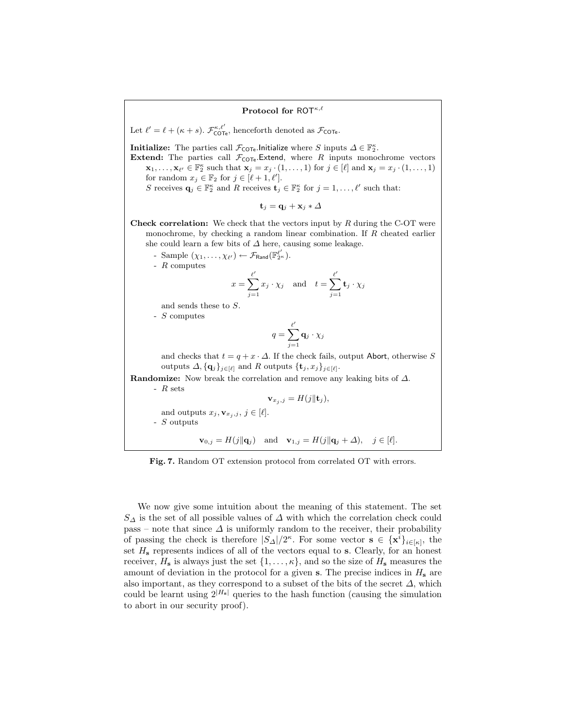#### Protocol for ROT $\kappa,\ell$

Let  $\ell' = \ell + (\kappa + s)$ .  $\mathcal{F}_{\text{COTe}}^{\kappa, \ell'}$ , henceforth denoted as  $\mathcal{F}_{\text{COTe}}$ .

**Initialize:** The parties call  $\mathcal{F}_{\text{COTe}}$ . Initialize where S inputs  $\Delta \in \mathbb{F}_2^{\kappa}$ .

**Extend:** The parties call  $\mathcal{F}_{\text{COTe}}$ . Extend, where R inputs monochrome vectors  $\mathbf{x}_1,\ldots,\mathbf{x}_{\ell'} \in \mathbb{F}_2^{\kappa}$  such that  $\mathbf{x}_j = x_j \cdot (1,\ldots,1)$  for  $j \in [\ell]$  and  $\mathbf{x}_j = x_j \cdot (1,\ldots,1)$ for random  $x_j \in \mathbb{F}_2$  for  $j \in [\ell + 1, \ell']$ .

S receives  $\mathbf{q}_j \in \mathbb{F}_2^{\kappa}$  and R receives  $\mathbf{t}_j \in \mathbb{F}_2^{\kappa}$  for  $j = 1, \ldots, \ell'$  such that:

$$
\mathbf{t}_j = \mathbf{q}_j + \mathbf{x}_j * \varDelta
$$

**Check correlation:** We check that the vectors input by  $R$  during the C-OT were monochrome, by checking a random linear combination. If R cheated earlier she could learn a few bits of  $\varDelta$  here, causing some leakage.

- Sample  $(\chi_1, \ldots, \chi_{\ell'}) \leftarrow \mathcal{F}_{\text{Rand}}(\mathbb{F}_{2^{\kappa}}^{\ell'}).$ 

- R computes

$$
x = \sum_{j=1}^{\ell'} x_j \cdot \chi_j \quad \text{and} \quad t = \sum_{j=1}^{\ell'} \mathbf{t}_j \cdot \chi_j
$$

and sends these to S.

- S computes

$$
q = \sum_{j=1}^{\ell'} \mathbf{q}_j \cdot \chi_j
$$

and checks that  $t = q + x \cdot \Delta$ . If the check fails, output Abort, otherwise S outputs  $\Delta, {\{\mathbf{q}_j\}_{j\in[\ell]}}$  and R outputs  ${\{\mathbf{t}_j, x_j\}_{j\in[\ell]}}$ .

Randomize: Now break the correlation and remove any leaking bits of  $\Delta$ . - R sets

 $\mathbf{v}_{x_j,j} = H(j||\mathbf{t}_j),$ 

and outputs  $x_j, \mathbf{v}_{x_j, j}, j \in [\ell].$ - S outputs

<span id="page-9-0"></span> $\mathbf{v}_{0,j} = H(j||\mathbf{q}_j)$  and  $\mathbf{v}_{1,j} = H(j||\mathbf{q}_j + \Delta), \quad j \in [\ell].$ 

Fig. 7. Random OT extension protocol from correlated OT with errors.

We now give some intuition about the meaning of this statement. The set  $S_{\Delta}$  is the set of all possible values of  $\Delta$  with which the correlation check could pass – note that since  $\Delta$  is uniformly random to the receiver, their probability of passing the check is therefore  $|S_{\Delta}|/2^{\kappa}$ . For some vector  $s \in {\{\mathbf{x}^{i}\}_{i\in[\kappa]}},$  the set  $H_s$  represents indices of all of the vectors equal to s. Clearly, for an honest receiver,  $H_s$  is always just the set  $\{1, \ldots, \kappa\}$ , and so the size of  $H_s$  measures the amount of deviation in the protocol for a given s. The precise indices in  $H<sub>s</sub>$  are also important, as they correspond to a subset of the bits of the secret  $\Delta$ , which could be learnt using  $2^{|H_s|}$  queries to the hash function (causing the simulation to abort in our security proof).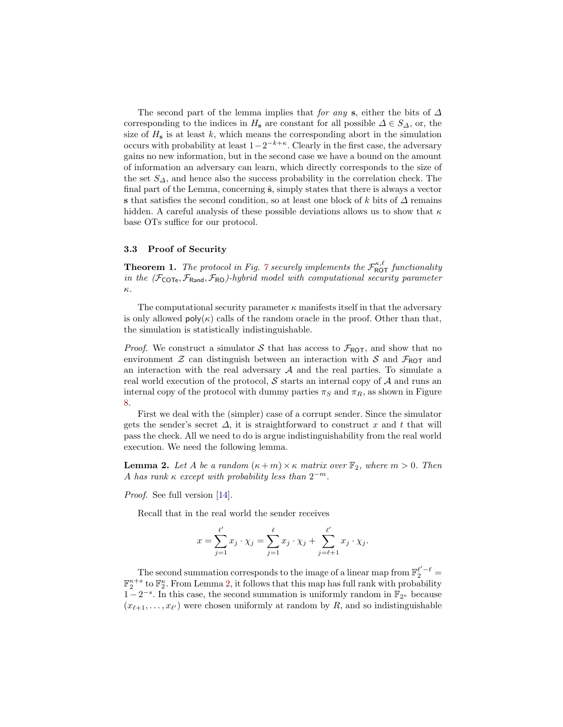The second part of the lemma implies that for any s, either the bits of  $\Delta$ corresponding to the indices in  $H_s$  are constant for all possible  $\Delta \in S_{\Delta}$ , or, the size of  $H_s$  is at least k, which means the corresponding abort in the simulation occurs with probability at least  $1-2^{-k+\kappa}$ . Clearly in the first case, the adversary gains no new information, but in the second case we have a bound on the amount of information an adversary can learn, which directly corresponds to the size of the set  $S_{\Delta}$ , and hence also the success probability in the correlation check. The final part of the Lemma, concerning  $\hat{\mathbf{s}}$ , simply states that there is always a vector s that satisfies the second condition, so at least one block of k bits of  $\Delta$  remains hidden. A careful analysis of these possible deviations allows us to show that  $\kappa$ base OTs suffice for our protocol.

#### 3.3 Proof of Security

<span id="page-10-0"></span>**Theorem 1.** The protocol in Fig. [7](#page-9-0) securely implements the  $\mathcal{F}_{\text{ROT}}^{\kappa,\ell}$  functionality in the  $(\mathcal{F}_{\text{COTE}}, \mathcal{F}_{\text{Rand}}, \mathcal{F}_{\text{RO}})$ -hybrid model with computational security parameter κ.

The computational security parameter  $\kappa$  manifests itself in that the adversary is only allowed  $\mathsf{poly}(\kappa)$  calls of the random oracle in the proof. Other than that, the simulation is statistically indistinguishable.

*Proof.* We construct a simulator S that has access to  $\mathcal{F}_{\text{ROT}}$ , and show that no environment  $\mathcal Z$  can distinguish between an interaction with  $\mathcal S$  and  $\mathcal F_{\text{ROT}}$  and an interaction with the real adversary  $A$  and the real parties. To simulate a real world execution of the protocol,  $S$  starts an internal copy of  $A$  and runs an internal copy of the protocol with dummy parties  $\pi_S$  and  $\pi_R$ , as shown in Figure [8.](#page-11-0)

First we deal with the (simpler) case of a corrupt sender. Since the simulator gets the sender's secret  $\Delta$ , it is straightforward to construct x and t that will pass the check. All we need to do is argue indistinguishability from the real world execution. We need the following lemma.

<span id="page-10-1"></span>**Lemma 2.** Let A be a random  $(\kappa + m) \times \kappa$  matrix over  $\mathbb{F}_2$ , where  $m > 0$ . Then A has rank  $\kappa$  except with probability less than  $2^{-m}$ .

Proof. See full version [\[14\]](#page-17-11).

Recall that in the real world the sender receives

$$
x = \sum_{j=1}^{\ell'} x_j \cdot \chi_j = \sum_{j=1}^{\ell} x_j \cdot \chi_j + \sum_{j=\ell+1}^{\ell'} x_j \cdot \chi_j.
$$

The second summation corresponds to the image of a linear map from  $\mathbb{F}_2^{\ell'-\ell}$  =  $\mathbb{F}_2^{\kappa+s}$  to  $\mathbb{F}_2^{\kappa}$ . From Lemma [2,](#page-10-1) it follows that this map has full rank with probability  $1 - 2^{-s}$ . In this case, the second summation is uniformly random in  $\mathbb{F}_{2^{\kappa}}$  because  $(x_{\ell+1}, \ldots, x_{\ell'})$  were chosen uniformly at random by R, and so indistinguishable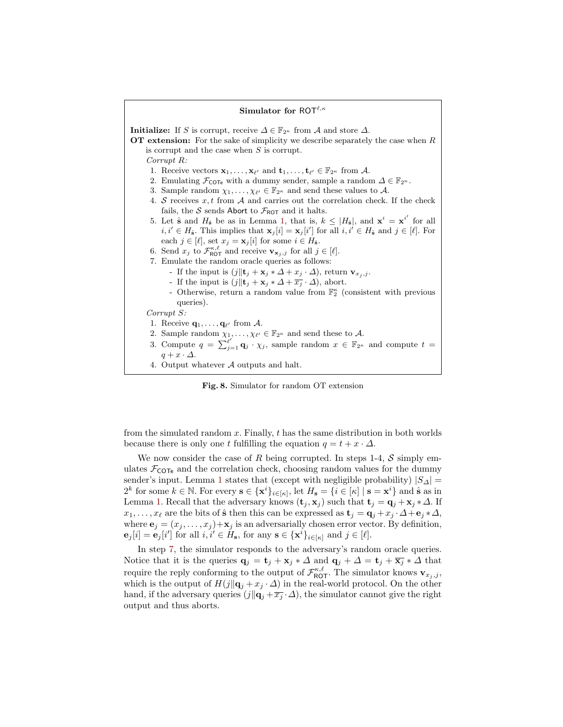# Simulator for ROT $^{\ell,\kappa}$ **Initialize:** If S is corrupt, receive  $\Delta \in \mathbb{F}_{2^{\kappa}}$  from A and store  $\Delta$ . OT extension: For the sake of simplicity we describe separately the case when  $R$ is corrupt and the case when  $S$  is corrupt. Corrupt R: 1. Receive vectors  $\mathbf{x}_1, \ldots, \mathbf{x}_{\ell'}$  and  $\mathbf{t}_1, \ldots, \mathbf{t}_{\ell'} \in \mathbb{F}_{2^{\kappa}}$  from A. 2. Emulating  $\mathcal{F}_{\text{COTe}}$  with a dummy sender, sample a random  $\Delta \in \mathbb{F}_{2^{\kappa}}$ . 3. Sample random  $\chi_1, \ldots, \chi_{\ell'} \in \mathbb{F}_{2^{\kappa}}$  and send these values to A. 4. S receives  $x, t$  from A and carries out the correlation check. If the check fails, the S sends Abort to  $\mathcal{F}_{\text{ROT}}$  and it halts. 5. Let  $\hat{\mathbf{s}}$  and  $H_{\hat{\mathbf{s}}}$  be as in Lemma [1,](#page-8-0) that is,  $k \leq |H_{\hat{\mathbf{s}}}|$ , and  $\mathbf{x}^i = \mathbf{x}^{i'}$  for all  $i, i' \in H_{\hat{\mathbf{s}}}$ . This implies that  $\mathbf{x}_j[i] = \mathbf{x}_j[i']$  for all  $i, i' \in H_{\hat{\mathbf{s}}}$  and  $j \in [\ell]$ . For each  $j \in [\ell],$  set  $x_j = \mathbf{x}_j [i]$  for some  $i \in H_{\hat{\mathbf{s}}}$ . 6. Send  $x_j$  to  $\mathcal{F}_{\text{ROT}}^{\kappa,\ell}$  and receive  $\mathbf{v}_{\mathbf{x}_j,j}$  for all  $j \in [\ell].$ 7. Emulate the random oracle queries as follows: - If the input is  $(j||\mathbf{t}_j + \mathbf{x}_j * \Delta + x_j \cdot \Delta)$ , return  $\mathbf{v}_{x_j, j}$ . - If the input is  $(j||\mathbf{t}_j + \mathbf{x}_j * \Delta + \overline{x_j} \cdot \Delta)$ , abort. - Otherwise, return a random value from  $\mathbb{F}_2^{\kappa}$  (consistent with previous queries). Corrupt S: 1. Receive  $\mathbf{q}_1, \ldots, \mathbf{q}_{\ell'}$  from A. 2. Sample random  $\chi_1, \ldots, \chi_{\ell'} \in \mathbb{F}_{2^{\kappa}}$  and send these to A. 3. Compute  $q = \sum_{j=1}^{\ell'} \mathbf{q}_j \cdot \chi_j$ , sample random  $x \in \mathbb{F}_{2^{\kappa}}$  and compute  $t =$  $q + x \cdot \Delta$ . 4. Output whatever A outputs and halt.

<span id="page-11-1"></span><span id="page-11-0"></span>Fig. 8. Simulator for random OT extension

from the simulated random  $x$ . Finally,  $t$  has the same distribution in both worlds because there is only one t fulfilling the equation  $q = t + x \cdot \Delta$ .

We now consider the case of R being corrupted. In steps 1-4,  $S$  simply emulates  $\mathcal{F}_{\text{COTe}}$  and the correlation check, choosing random values for the dummy sender's input. Lemma [1](#page-8-0) states that (except with negligible probability)  $|S_{\Delta}|$  =  $2^k$  for some  $k \in \mathbb{N}$ . For every  $\mathbf{s} \in {\{\mathbf{x}^i\}}_{i \in [\kappa]}$ , let  $H_\mathbf{s} = {\{i \in [\kappa] \mid \mathbf{s} = \mathbf{x}^i\}}$  and  $\hat{\mathbf{s}}$  as in Lemma [1.](#page-8-0) Recall that the adversary knows  $(\mathbf{t}_i, \mathbf{x}_j)$  such that  $\mathbf{t}_i = \mathbf{q}_i + \mathbf{x}_j * \Delta$ . If  $x_1, \ldots, x_\ell$  are the bits of  $\hat{\mathbf{s}}$  then this can be expressed as  $\mathbf{t}_i = \mathbf{q}_i + x_i \cdot \Delta + \mathbf{e}_i * \Delta$ , where  $\mathbf{e}_j = (x_j, \dots, x_j) + \mathbf{x}_j$  is an adversarially chosen error vector. By definition,  $\mathbf{e}_j[i] = \mathbf{e}_j[i']$  for all  $i, i' \in H_s$ , for any  $\mathbf{s} \in {\{\mathbf{x}^i\}}_{i \in [\kappa]}$  and  $j \in [\ell]$ .

In step [7,](#page-11-1) the simulator responds to the adversary's random oracle queries. Notice that it is the queries  $\mathbf{q}_j = \mathbf{t}_j + \mathbf{x}_j * \Delta$  and  $\mathbf{q}_j + \Delta = \mathbf{t}_j + \overline{\mathbf{x}_j} * \Delta$  that require the reply conforming to the output of  $\mathcal{F}_{\sf ROT}^{\kappa,\ell}$ . The simulator knows  $\mathbf{v}_{x_j,j}$ , which is the output of  $H(j||\mathbf{q}_j + x_j \cdot \Delta)$  in the real-world protocol. On the other hand, if the adversary queries  $(j||\mathbf{q}_i + \overline{x}_j \cdot \Delta)$ , the simulator cannot give the right output and thus aborts.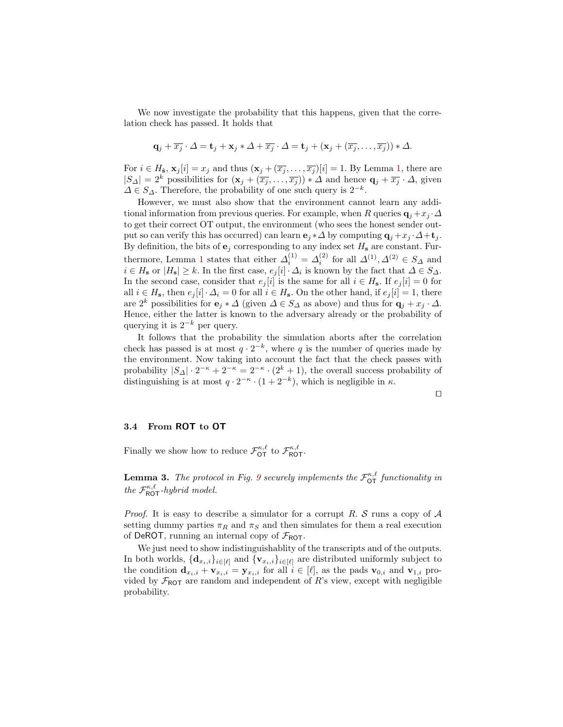We now investigate the probability that this happens, given that the correlation check has passed. It holds that

$$
\mathbf{q}_j + \overline{x_j} \cdot \Delta = \mathbf{t}_j + \mathbf{x}_j * \Delta + \overline{x_j} \cdot \Delta = \mathbf{t}_j + (\mathbf{x}_j + (\overline{x_j}, \dots, \overline{x_j})) * \Delta.
$$

For  $i \in H_{\hat{\mathbf{s}}}$ ,  $\mathbf{x}_j[i] = x_j$  and thus  $(\mathbf{x}_j + (\overline{x}_j, \dots, \overline{x}_j)[i] = 1$ . By Lemma [1,](#page-8-0) there are  $|S_\Delta|=2^k$  possibilities for  $(\mathbf{x}_j + (\overline{x_j}, \dots, \overline{x_j})) \cdot \Delta$  and hence  $\mathbf{q}_j + \overline{x_j} \cdot \Delta$ , given  $\Delta \in S_{\Delta}$ . Therefore, the probability of one such query is  $2^{-k}$ .

However, we must also show that the environment cannot learn any additional information from previous queries. For example, when R queries  $\mathbf{q}_i + x_i \cdot \Delta$ to get their correct OT output, the environment (who sees the honest sender output so can verify this has occurred) can learn  $e_i * \Delta$  by computing  $q_i + x_j \cdot \Delta + t_j$ . By definition, the bits of  $e_j$  corresponding to any index set  $H_s$  are constant. Fur-thermore, Lemma [1](#page-8-0) states that either  $\Delta_i^{(1)} = \Delta_i^{(2)}$  for all  $\Delta^{(1)}, \Delta^{(2)} \in S_\Delta$  and  $i \in H_s$  or  $|H_s| \geq k$ . In the first case,  $e_j[i] \cdot \Delta_i$  is known by the fact that  $\Delta \in S_{\Delta}$ . In the second case, consider that  $e_j[i]$  is the same for all  $i \in H_s$ . If  $e_j[i] = 0$  for all  $i \in H_s$ , then  $e_j[i] \cdot \Delta_i = 0$  for all  $i \in H_s$ . On the other hand, if  $e_j[i] = 1$ , there are  $2^k$  possibilities for  $\mathbf{e}_i * \Delta$  (given  $\Delta \in S_\Delta$  as above) and thus for  $\mathbf{q}_i + x_i \cdot \Delta$ . Hence, either the latter is known to the adversary already or the probability of querying it is  $2^{-k}$  per query.

It follows that the probability the simulation aborts after the correlation check has passed is at most  $q \cdot 2^{-k}$ , where q is the number of queries made by the environment. Now taking into account the fact that the check passes with probability  $|S_\Delta| \cdot 2^{-\kappa} + 2^{-\kappa} = 2^{-\kappa} \cdot (2^k + 1)$ , the overall success probability of distinguishing is at most  $q \cdot 2^{-\kappa} \cdot (1 + 2^{-k})$ , which is negligible in  $\kappa$ .

| ۰ |  | ۰ |  |
|---|--|---|--|
|   |  |   |  |
|   |  |   |  |
|   |  |   |  |

#### 3.4 From ROT to OT

Finally we show how to reduce  $\mathcal{F}_{\text{OT}}^{\kappa,\ell}$  to  $\mathcal{F}_{\text{ROT}}^{\kappa,\ell}$ .

**Lemma 3.** The protocol in Fig. [9](#page-13-0) securely implements the  $\mathcal{F}_{\text{OT}}^{\kappa,\ell}$  functionality in the  $\mathcal{F}_{\text{ROT}}^{\kappa,\ell}$ -hybrid model.

*Proof.* It is easy to describe a simulator for a corrupt R.  $S$  runs a copy of  $A$ setting dummy parties  $\pi_R$  and  $\pi_S$  and then simulates for them a real execution of DeROT, running an internal copy of  $\mathcal{F}_{\text{ROT}}$ .

We just need to show indistinguishablity of the transcripts and of the outputs. In both worlds,  ${\bf d}_{x_i,i}$ <sub>i∈[ $\ell$ ]</sub> and  ${\bf v}_{x_i,i}$ <sub>i∈[ $\ell$ ]</sub> are distributed uniformly subject to the condition  $\mathbf{d}_{x_i,i} + \mathbf{v}_{x_i,i} = \mathbf{y}_{x_i,i}$  for all  $i \in [\ell]$ , as the pads  $\mathbf{v}_{0,i}$  and  $\mathbf{v}_{1,i}$  provided by  $\mathcal{F}_{\text{ROT}}$  are random and independent of R's view, except with negligible probability.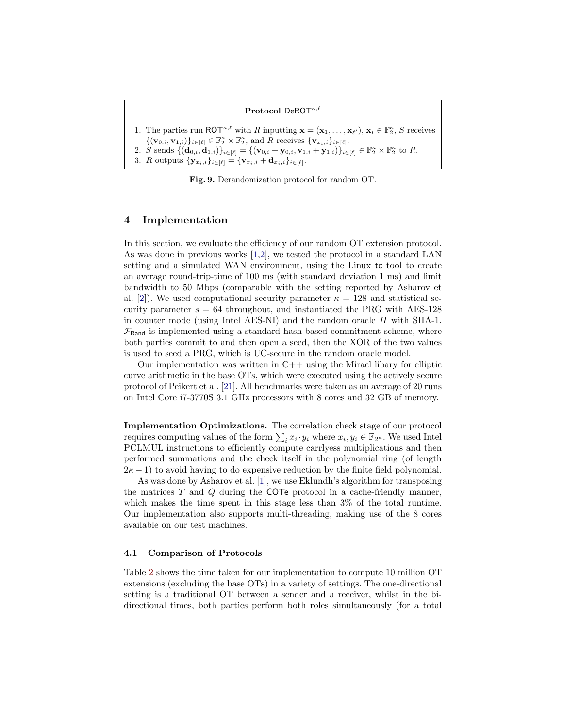#### Protocol DeROT $\kappa,\ell$

1. The parties run ROT<sup> $\kappa, \ell$ </sup> with R inputting  $\mathbf{x} = (\mathbf{x}_1, \dots, \mathbf{x}_{\ell}), \mathbf{x}_i \in \mathbb{F}_2^{\kappa}, S$  receives  $\{(\mathbf{v}_{0,i}, \mathbf{v}_{1,i})\}_{i \in [\ell]} \in \mathbb{F}_2^{\kappa} \times \mathbb{F}_2^{\kappa}$ , and R receives  $\{\mathbf{v}_{x_i,i}\}_{i \in [\ell]}.$ 2. S sends  $\{(\mathbf{d}_{0,i}, \mathbf{d}_{1,i})\}_{i \in [\ell]} = {\{(\mathbf{v}_{0,i} + \mathbf{y}_{0,i}, \mathbf{v}_{1,i} + \mathbf{y}_{1,i})\}_{i \in [\ell]} \in \mathbb{F}_2^{\kappa} \times \mathbb{F}_2^{\kappa} \text{ to } R.}$ 3. R outputs  $\{y_{x_i,i}\}_{i \in [\ell]} = {\mathbf{v}_{x_i,i} + \mathbf{d}_{x_i,i}}_{i \in [\ell]}.$ 

<span id="page-13-0"></span>Fig. 9. Derandomization protocol for random OT.

### 4 Implementation

In this section, we evaluate the efficiency of our random OT extension protocol. As was done in previous works [\[1](#page-16-4)[,2\]](#page-16-5), we tested the protocol in a standard LAN setting and a simulated WAN environment, using the Linux tc tool to create an average round-trip-time of 100 ms (with standard deviation 1 ms) and limit bandwidth to 50 Mbps (comparable with the setting reported by Asharov et al. [\[2\]](#page-16-5)). We used computational security parameter  $\kappa = 128$  and statistical security parameter  $s = 64$  throughout, and instantiated the PRG with AES-128 in counter mode (using Intel AES-NI) and the random oracle H with SHA-1.  $\mathcal{F}_{\text{Rand}}$  is implemented using a standard hash-based commitment scheme, where both parties commit to and then open a seed, then the XOR of the two values is used to seed a PRG, which is UC-secure in the random oracle model.

Our implementation was written in  $C++$  using the Miracl libary for elliptic curve arithmetic in the base OTs, which were executed using the actively secure protocol of Peikert et al. [\[21\]](#page-17-12). All benchmarks were taken as an average of 20 runs on Intel Core i7-3770S 3.1 GHz processors with 8 cores and 32 GB of memory.

Implementation Optimizations. The correlation check stage of our protocol requires computing values of the form  $\sum_i x_i \cdot y_i$  where  $x_i, y_i \in \mathbb{F}_{2^{\kappa}}$ . We used Intel PCLMUL instructions to efficiently compute carrlyess multiplications and then performed summations and the check itself in the polynomial ring (of length  $2\kappa - 1$ ) to avoid having to do expensive reduction by the finite field polynomial.

As was done by Asharov et al. [\[1\]](#page-16-4), we use Eklundh's algorithm for transposing the matrices  $T$  and  $Q$  during the COTe protocol in a cache-friendly manner, which makes the time spent in this stage less than 3% of the total runtime. Our implementation also supports multi-threading, making use of the 8 cores available on our test machines.

#### 4.1 Comparison of Protocols

Table [2](#page-14-0) shows the time taken for our implementation to compute 10 million OT extensions (excluding the base OTs) in a variety of settings. The one-directional setting is a traditional OT between a sender and a receiver, whilst in the bidirectional times, both parties perform both roles simultaneously (for a total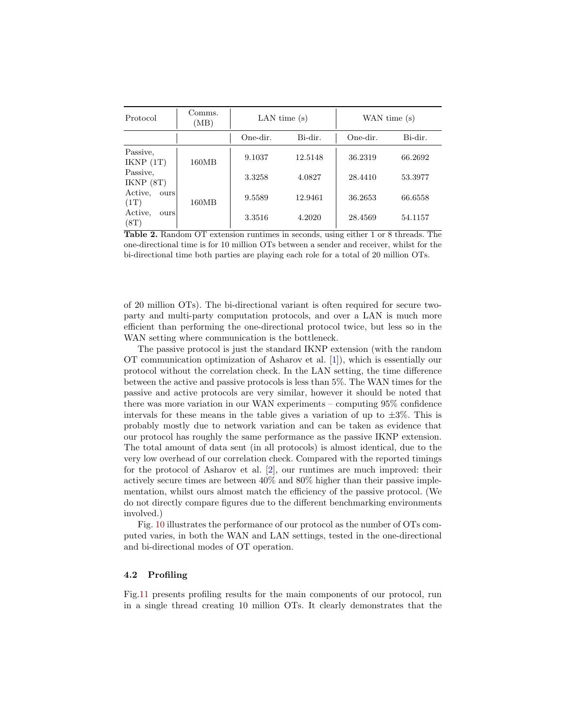| Protocol                | Comms.<br>(MB) | LAN time $(s)$ |         | WAN time (s) |         |
|-------------------------|----------------|----------------|---------|--------------|---------|
|                         |                | One-dir.       | Bi-dir. | One-dir.     | Bi-dir. |
| Passive,<br>IKNP(1T)    | 160MB<br>160MB | 9.1037         | 12.5148 | 36.2319      | 66.2692 |
| Passive,<br>IKNP(8T)    |                | 3.3258         | 4.0827  | 28.4410      | 53.3977 |
| Active,<br>ours<br>(1T) |                | 9.5589         | 12.9461 | 36.2653      | 66.6558 |
| Active.<br>ours<br>(8T) |                | 3.3516         | 4.2020  | 28.4569      | 54.1157 |

<span id="page-14-0"></span>Table 2. Random OT extension runtimes in seconds, using either 1 or 8 threads. The one-directional time is for 10 million OTs between a sender and receiver, whilst for the bi-directional time both parties are playing each role for a total of 20 million OTs.

of 20 million OTs). The bi-directional variant is often required for secure twoparty and multi-party computation protocols, and over a LAN is much more efficient than performing the one-directional protocol twice, but less so in the WAN setting where communication is the bottleneck.

The passive protocol is just the standard IKNP extension (with the random OT communication optimization of Asharov et al. [\[1\]](#page-16-4)), which is essentially our protocol without the correlation check. In the LAN setting, the time difference between the active and passive protocols is less than 5%. The WAN times for the passive and active protocols are very similar, however it should be noted that there was more variation in our WAN experiments – computing 95% confidence intervals for these means in the table gives a variation of up to  $\pm 3\%$ . This is probably mostly due to network variation and can be taken as evidence that our protocol has roughly the same performance as the passive IKNP extension. The total amount of data sent (in all protocols) is almost identical, due to the very low overhead of our correlation check. Compared with the reported timings for the protocol of Asharov et al. [\[2\]](#page-16-5), our runtimes are much improved: their actively secure times are between 40% and 80% higher than their passive implementation, whilst ours almost match the efficiency of the passive protocol. (We do not directly compare figures due to the different benchmarking environments involved.)

Fig. [10](#page-15-0) illustrates the performance of our protocol as the number of OTs computed varies, in both the WAN and LAN settings, tested in the one-directional and bi-directional modes of OT operation.

### 4.2 Profiling

Fig[.11](#page-15-1) presents profiling results for the main components of our protocol, run in a single thread creating 10 million OTs. It clearly demonstrates that the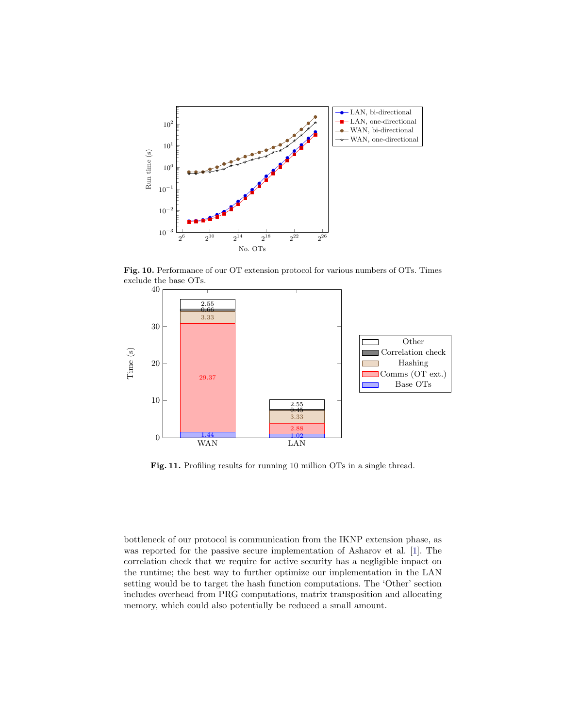

<span id="page-15-0"></span>Fig. 10. Performance of our OT extension protocol for various numbers of OTs. Times exclude the base OTs.



<span id="page-15-1"></span>Fig. 11. Profiling results for running 10 million OTs in a single thread.

bottleneck of our protocol is communication from the IKNP extension phase, as was reported for the passive secure implementation of Asharov et al. [\[1\]](#page-16-4). The correlation check that we require for active security has a negligible impact on the runtime; the best way to further optimize our implementation in the LAN setting would be to target the hash function computations. The 'Other' section includes overhead from PRG computations, matrix transposition and allocating memory, which could also potentially be reduced a small amount.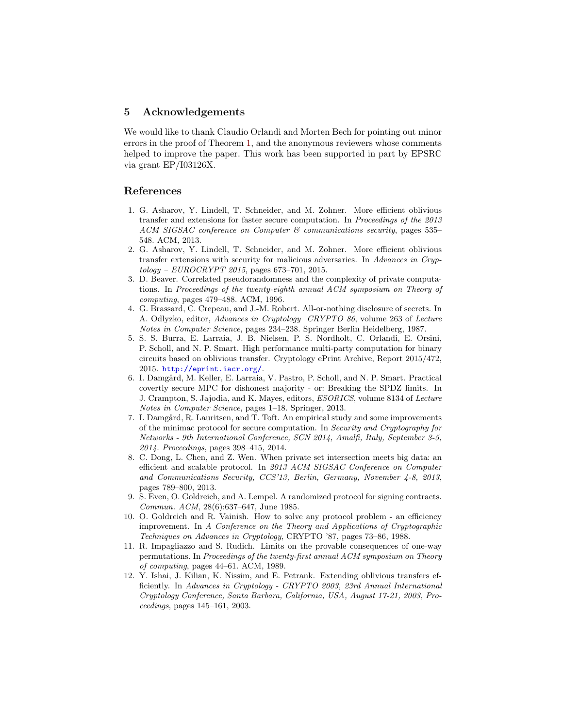# 5 Acknowledgements

We would like to thank Claudio Orlandi and Morten Bech for pointing out minor errors in the proof of Theorem [1,](#page-10-0) and the anonymous reviewers whose comments helped to improve the paper. This work has been supported in part by EPSRC via grant EP/I03126X.

### References

- <span id="page-16-4"></span>1. G. Asharov, Y. Lindell, T. Schneider, and M. Zohner. More efficient oblivious transfer and extensions for faster secure computation. In Proceedings of the 2013 ACM SIGSAC conference on Computer & communications security, pages 535– 548. ACM, 2013.
- <span id="page-16-5"></span>2. G. Asharov, Y. Lindell, T. Schneider, and M. Zohner. More efficient oblivious transfer extensions with security for malicious adversaries. In Advances in Cryptology – EUROCRYPT 2015, pages 673–701, 2015.
- <span id="page-16-2"></span>3. D. Beaver. Correlated pseudorandomness and the complexity of private computations. In Proceedings of the twenty-eighth annual ACM symposium on Theory of computing, pages 479–488. ACM, 1996.
- <span id="page-16-10"></span>4. G. Brassard, C. Crepeau, and J.-M. Robert. All-or-nothing disclosure of secrets. In A. Odlyzko, editor, Advances in Cryptology CRYPTO 86, volume 263 of Lecture Notes in Computer Science, pages 234–238. Springer Berlin Heidelberg, 1987.
- <span id="page-16-6"></span>5. S. S. Burra, E. Larraia, J. B. Nielsen, P. S. Nordholt, C. Orlandi, E. Orsini, P. Scholl, and N. P. Smart. High performance multi-party computation for binary circuits based on oblivious transfer. Cryptology ePrint Archive, Report 2015/472, 2015. <http://eprint.iacr.org/>.
- <span id="page-16-11"></span>6. I. Damgård, M. Keller, E. Larraia, V. Pastro, P. Scholl, and N. P. Smart. Practical covertly secure MPC for dishonest majority - or: Breaking the SPDZ limits. In J. Crampton, S. Jajodia, and K. Mayes, editors, ESORICS, volume 8134 of Lecture Notes in Computer Science, pages 1–18. Springer, 2013.
- <span id="page-16-7"></span>7. I. Damgård, R. Lauritsen, and T. Toft. An empirical study and some improvements of the minimac protocol for secure computation. In Security and Cryptography for Networks - 9th International Conference, SCN 2014, Amalfi, Italy, September 3-5, 2014. Proceedings, pages 398–415, 2014.
- <span id="page-16-8"></span>8. C. Dong, L. Chen, and Z. Wen. When private set intersection meets big data: an efficient and scalable protocol. In 2013 ACM SIGSAC Conference on Computer and Communications Security, CCS'13, Berlin, Germany, November 4-8, 2013, pages 789–800, 2013.
- <span id="page-16-9"></span>9. S. Even, O. Goldreich, and A. Lempel. A randomized protocol for signing contracts. Commun. ACM, 28(6):637–647, June 1985.
- <span id="page-16-0"></span>10. O. Goldreich and R. Vainish. How to solve any protocol problem - an efficiency improvement. In A Conference on the Theory and Applications of Cryptographic Techniques on Advances in Cryptology, CRYPTO '87, pages 73–86, 1988.
- <span id="page-16-1"></span>11. R. Impagliazzo and S. Rudich. Limits on the provable consequences of one-way permutations. In Proceedings of the twenty-first annual ACM symposium on Theory of computing, pages 44–61. ACM, 1989.
- <span id="page-16-3"></span>12. Y. Ishai, J. Kilian, K. Nissim, and E. Petrank. Extending oblivious transfers efficiently. In Advances in Cryptology - CRYPTO 2003, 23rd Annual International Cryptology Conference, Santa Barbara, California, USA, August 17-21, 2003, Proceedings, pages 145–161, 2003.